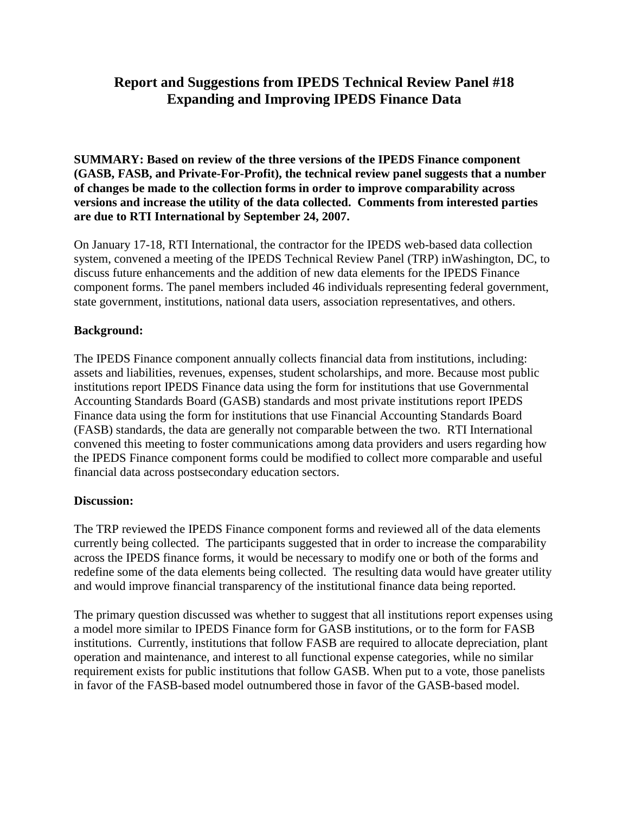# **Report and Suggestions from IPEDS Technical Review Panel #18 Expanding and Improving IPEDS Finance Data**

**SUMMARY: Based on review of the three versions of the IPEDS Finance component (GASB, FASB, and Private-For-Profit), the technical review panel suggests that a number of changes be made to the collection forms in order to improve comparability across versions and increase the utility of the data collected. Comments from interested parties are due to RTI International by September 24, 2007.**

On January 17-18, RTI International, the contractor for the IPEDS web-based data collection system, convened a meeting of the IPEDS Technical Review Panel (TRP) inWashington, DC, to discuss future enhancements and the addition of new data elements for the IPEDS Finance component forms. The panel members included 46 individuals representing federal government, state government, institutions, national data users, association representatives, and others.

#### **Background:**

The IPEDS Finance component annually collects financial data from institutions, including: assets and liabilities, revenues, expenses, student scholarships, and more. Because most public institutions report IPEDS Finance data using the form for institutions that use Governmental Accounting Standards Board (GASB) standards and most private institutions report IPEDS Finance data using the form for institutions that use Financial Accounting Standards Board (FASB) standards, the data are generally not comparable between the two. RTI International convened this meeting to foster communications among data providers and users regarding how the IPEDS Finance component forms could be modified to collect more comparable and useful financial data across postsecondary education sectors.

#### **Discussion:**

The TRP reviewed the IPEDS Finance component forms and reviewed all of the data elements currently being collected. The participants suggested that in order to increase the comparability across the IPEDS finance forms, it would be necessary to modify one or both of the forms and redefine some of the data elements being collected. The resulting data would have greater utility and would improve financial transparency of the institutional finance data being reported.

The primary question discussed was whether to suggest that all institutions report expenses using a model more similar to IPEDS Finance form for GASB institutions, or to the form for FASB institutions. Currently, institutions that follow FASB are required to allocate depreciation, plant operation and maintenance, and interest to all functional expense categories, while no similar requirement exists for public institutions that follow GASB. When put to a vote, those panelists in favor of the FASB-based model outnumbered those in favor of the GASB-based model.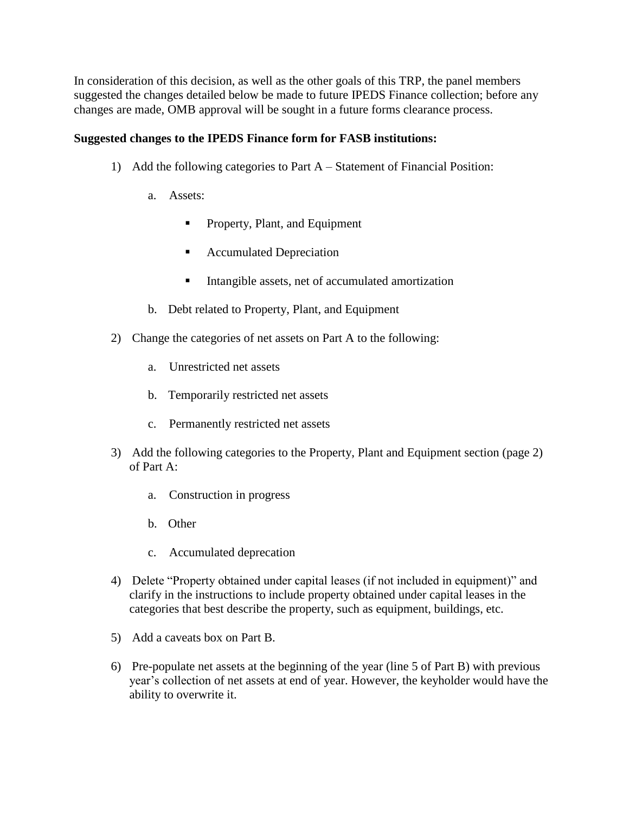In consideration of this decision, as well as the other goals of this TRP, the panel members suggested the changes detailed below be made to future IPEDS Finance collection; before any changes are made, OMB approval will be sought in a future forms clearance process.

### **Suggested changes to the IPEDS Finance form for FASB institutions:**

- 1) Add the following categories to Part A Statement of Financial Position:
	- a. Assets:
		- **Property, Plant, and Equipment**
		- Accumulated Depreciation
		- **Intangible assets, net of accumulated amortization**
	- b. Debt related to Property, Plant, and Equipment
- 2) Change the categories of net assets on Part A to the following:
	- a. Unrestricted net assets
	- b. Temporarily restricted net assets
	- c. Permanently restricted net assets
- 3) Add the following categories to the Property, Plant and Equipment section (page 2) of Part A:
	- a. Construction in progress
	- b. Other
	- c. Accumulated deprecation
- 4) Delete "Property obtained under capital leases (if not included in equipment)" and clarify in the instructions to include property obtained under capital leases in the categories that best describe the property, such as equipment, buildings, etc.
- 5) Add a caveats box on Part B.
- 6) Pre-populate net assets at the beginning of the year (line 5 of Part B) with previous year's collection of net assets at end of year. However, the keyholder would have the ability to overwrite it.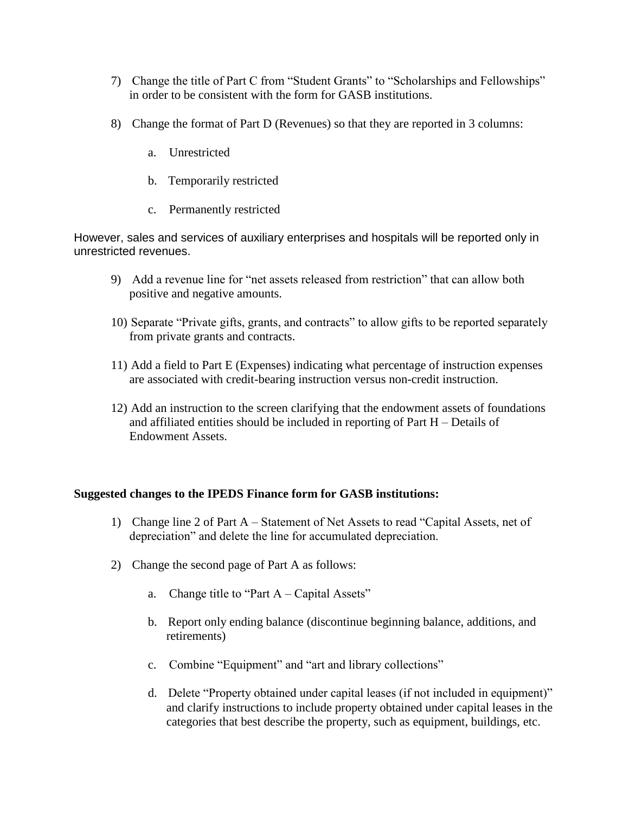- 7) Change the title of Part C from "Student Grants" to "Scholarships and Fellowships" in order to be consistent with the form for GASB institutions.
- 8) Change the format of Part D (Revenues) so that they are reported in 3 columns:
	- a. Unrestricted
	- b. Temporarily restricted
	- c. Permanently restricted

However, sales and services of auxiliary enterprises and hospitals will be reported only in unrestricted revenues.

- 9) Add a revenue line for "net assets released from restriction" that can allow both positive and negative amounts.
- 10) Separate "Private gifts, grants, and contracts" to allow gifts to be reported separately from private grants and contracts.
- 11) Add a field to Part E (Expenses) indicating what percentage of instruction expenses are associated with credit-bearing instruction versus non-credit instruction.
- 12) Add an instruction to the screen clarifying that the endowment assets of foundations and affiliated entities should be included in reporting of Part H – Details of Endowment Assets.

# **Suggested changes to the IPEDS Finance form for GASB institutions:**

- 1) Change line 2 of Part A Statement of Net Assets to read "Capital Assets, net of depreciation" and delete the line for accumulated depreciation.
- 2) Change the second page of Part A as follows:
	- a. Change title to "Part  $A Capital Assets"$
	- b. Report only ending balance (discontinue beginning balance, additions, and retirements)
	- c. Combine "Equipment" and "art and library collections"
	- d. Delete "Property obtained under capital leases (if not included in equipment)" and clarify instructions to include property obtained under capital leases in the categories that best describe the property, such as equipment, buildings, etc.